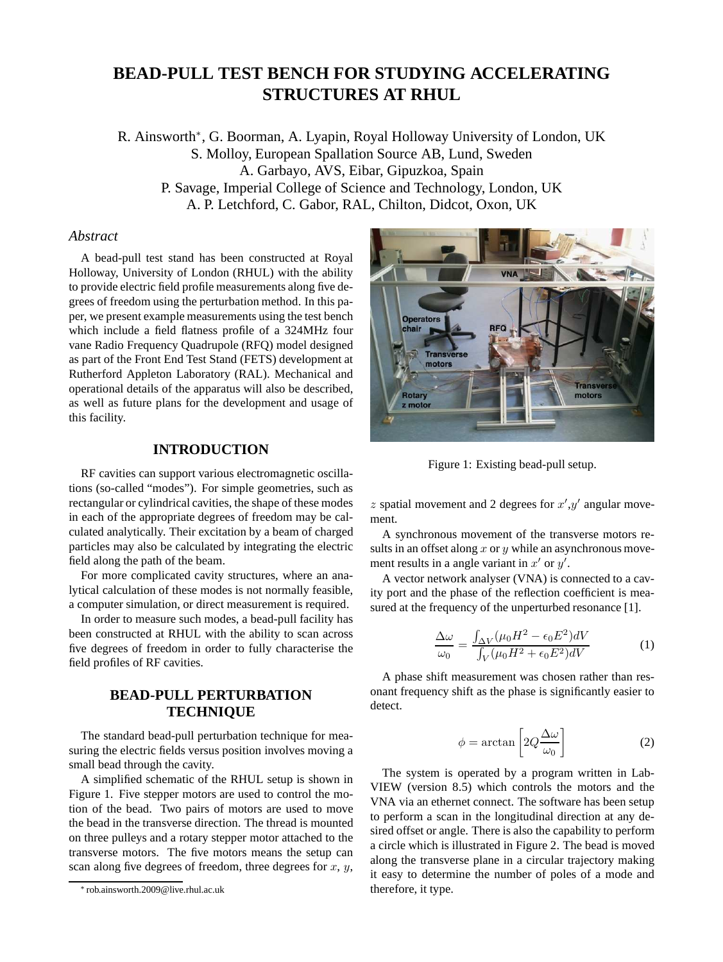# **BEAD-PULL TEST BENCH FOR STUDYING ACCELERATING STRUCTURES AT RHUL**

R. Ainsworth<sup>∗</sup> , G. Boorman, A. Lyapin, Royal Holloway University of London, UK S. Molloy, European Spallation Source AB, Lund, Sweden A. Garbayo, AVS, Eibar, Gipuzkoa, Spain P. Savage, Imperial College of Science and Technology, London, UK A. P. Letchford, C. Gabor, RAL, Chilton, Didcot, Oxon, UK

## *Abstract*

A bead-pull test stand has been constructed at Royal Holloway, University of London (RHUL) with the ability to provide electric field profile measurements along five degrees of freedom using the perturbation method. In this paper, we present example measurements using the test bench which include a field flatness profile of a 324MHz four vane Radio Frequency Quadrupole (RFQ) model designed as part of the Front End Test Stand (FETS) development at Rutherford Appleton Laboratory (RAL). Mechanical and operational details of the apparatus will also be described, as well as future plans for the development and usage of this facility.

## **INTRODUCTION**

RF cavities can support various electromagnetic oscillations (so-called "modes"). For simple geometries, such as rectangular or cylindrical cavities, the shape of these modes in each of the appropriate degrees of freedom may be calculated analytically. Their excitation by a beam of charged particles may also be calculated by integrating the electric field along the path of the beam.

For more complicated cavity structures, where an analytical calculation of these modes is not normally feasible, a computer simulation, or direct measurement is required.

In order to measure such modes, a bead-pull facility has been constructed at RHUL with the ability to scan across five degrees of freedom in order to fully characterise the field profiles of RF cavities.

## **BEAD-PULL PERTURBATION TECHNIQUE**

The standard bead-pull perturbation technique for measuring the electric fields versus position involves moving a small bead through the cavity.

A simplified schematic of the RHUL setup is shown in Figure 1. Five stepper motors are used to control the motion of the bead. Two pairs of motors are used to move the bead in the transverse direction. The thread is mounted on three pulleys and a rotary stepper motor attached to the transverse motors. The five motors means the setup can scan along five degrees of freedom, three degrees for  $x, y$ ,



Figure 1: Existing bead-pull setup.

 $z$  spatial movement and 2 degrees for  $x', y'$  angular movement.

A synchronous movement of the transverse motors results in an offset along  $x$  or  $y$  while an asynchronous movement results in a angle variant in  $x'$  or  $y'$ .

A vector network analyser (VNA) is connected to a cavity port and the phase of the reflection coefficient is measured at the frequency of the unperturbed resonance [1].

$$
\frac{\Delta\omega}{\omega_0} = \frac{\int_{\Delta V} (\mu_0 H^2 - \epsilon_0 E^2) dV}{\int_V (\mu_0 H^2 + \epsilon_0 E^2) dV}
$$
(1)

A phase shift measurement was chosen rather than resonant frequency shift as the phase is significantly easier to detect.

$$
\phi = \arctan\left[2Q\frac{\Delta\omega}{\omega_0}\right] \tag{2}
$$

The system is operated by a program written in Lab-VIEW (version 8.5) which controls the motors and the VNA via an ethernet connect. The software has been setup to perform a scan in the longitudinal direction at any desired offset or angle. There is also the capability to perform a circle which is illustrated in Figure 2. The bead is moved along the transverse plane in a circular trajectory making it easy to determine the number of poles of a mode and therefore, it type.

<sup>∗</sup> rob.ainsworth.2009@live.rhul.ac.uk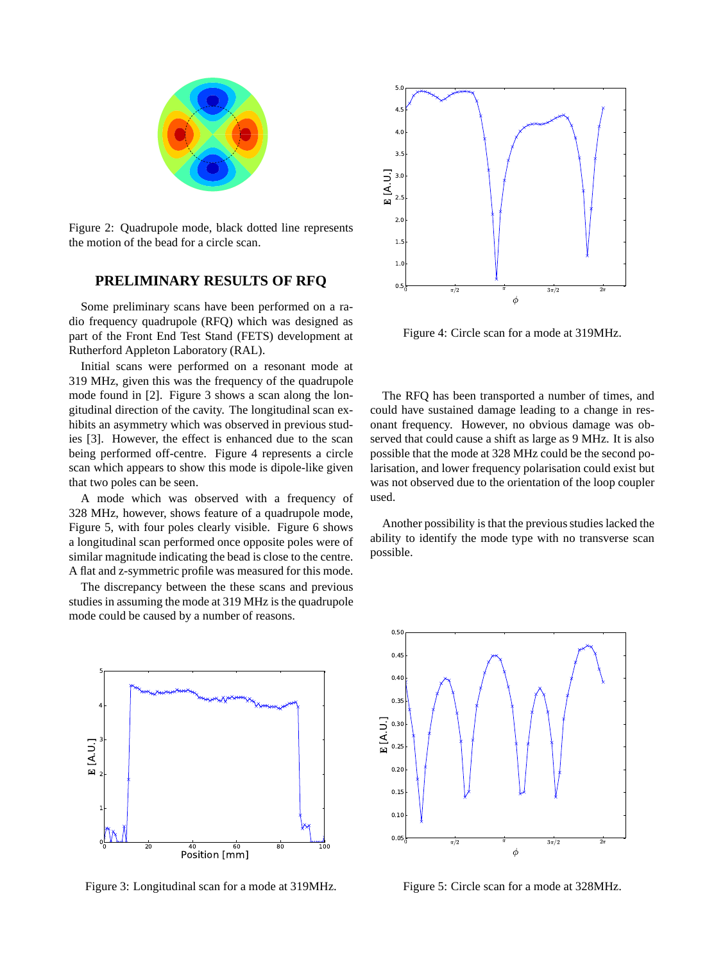

Figure 2: Quadrupole mode, black dotted line represents the motion of the bead for a circle scan.

## **PRELIMINARY RESULTS OF RFQ**

Some preliminary scans have been performed on a radio frequency quadrupole (RFQ) which was designed as part of the Front End Test Stand (FETS) development at Rutherford Appleton Laboratory (RAL).

Initial scans were performed on a resonant mode at 319 MHz, given this was the frequency of the quadrupole mode found in [2]. Figure 3 shows a scan along the longitudinal direction of the cavity. The longitudinal scan exhibits an asymmetry which was observed in previous studies [3]. However, the effect is enhanced due to the scan being performed off-centre. Figure 4 represents a circle scan which appears to show this mode is dipole-like given that two poles can be seen.

A mode which was observed with a frequency of 328 MHz, however, shows feature of a quadrupole mode, Figure 5, with four poles clearly visible. Figure 6 shows a longitudinal scan performed once opposite poles were of similar magnitude indicating the bead is close to the centre. A flat and z-symmetric profile was measured for this mode.

The discrepancy between the these scans and previous studies in assuming the mode at 319 MHz is the quadrupole mode could be caused by a number of reasons.



Figure 3: Longitudinal scan for a mode at 319MHz.



Figure 4: Circle scan for a mode at 319MHz.

The RFQ has been transported a number of times, and could have sustained damage leading to a change in resonant frequency. However, no obvious damage was observed that could cause a shift as large as 9 MHz. It is also possible that the mode at 328 MHz could be the second polarisation, and lower frequency polarisation could exist but was not observed due to the orientation of the loop coupler used.

Another possibility is that the previous studies lacked the ability to identify the mode type with no transverse scan possible.



Figure 5: Circle scan for a mode at 328MHz.